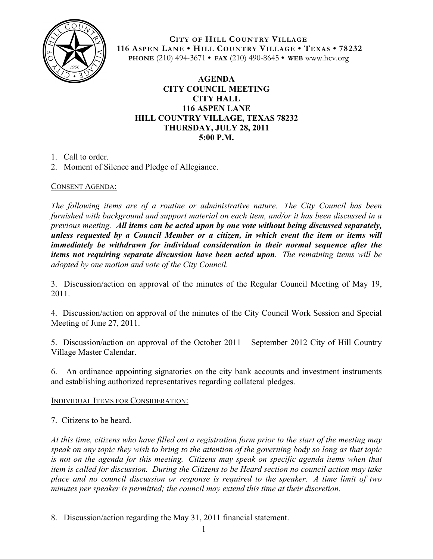

**CITY OF HILL COUNTRY VILLAGE 116 ASPEN LANE • HILL COUNTRY VILLAGE • TEXAS • 78232 PHONE** (210) 494-3671 **• FAX** (210) 490-8645 **• WEB** www.hcv.org

## **AGENDA CITY COUNCIL MEETING CITY HALL 116 ASPEN LANE HILL COUNTRY VILLAGE, TEXAS 78232 THURSDAY, JULY 28, 2011 5:00 P.M.**

- 1. Call to order.
- 2. Moment of Silence and Pledge of Allegiance.

## CONSENT AGENDA:

*The following items are of a routine or administrative nature. The City Council has been furnished with background and support material on each item, and/or it has been discussed in a previous meeting. All items can be acted upon by one vote without being discussed separately, unless requested by a Council Member or a citizen, in which event the item or items will immediately be withdrawn for individual consideration in their normal sequence after the items not requiring separate discussion have been acted upon. The remaining items will be adopted by one motion and vote of the City Council.*

3. Discussion/action on approval of the minutes of the Regular Council Meeting of May 19, 2011.

4. Discussion/action on approval of the minutes of the City Council Work Session and Special Meeting of June 27, 2011.

5. Discussion/action on approval of the October 2011 – September 2012 City of Hill Country Village Master Calendar.

6. An ordinance appointing signatories on the city bank accounts and investment instruments and establishing authorized representatives regarding collateral pledges.

## INDIVIDUAL ITEMS FOR CONSIDERATION:

7. Citizens to be heard.

*At this time, citizens who have filled out a registration form prior to the start of the meeting may speak on any topic they wish to bring to the attention of the governing body so long as that topic is not on the agenda for this meeting. Citizens may speak on specific agenda items when that item is called for discussion. During the Citizens to be Heard section no council action may take place and no council discussion or response is required to the speaker. A time limit of two minutes per speaker is permitted; the council may extend this time at their discretion.*

8. Discussion/action regarding the May 31, 2011 financial statement.